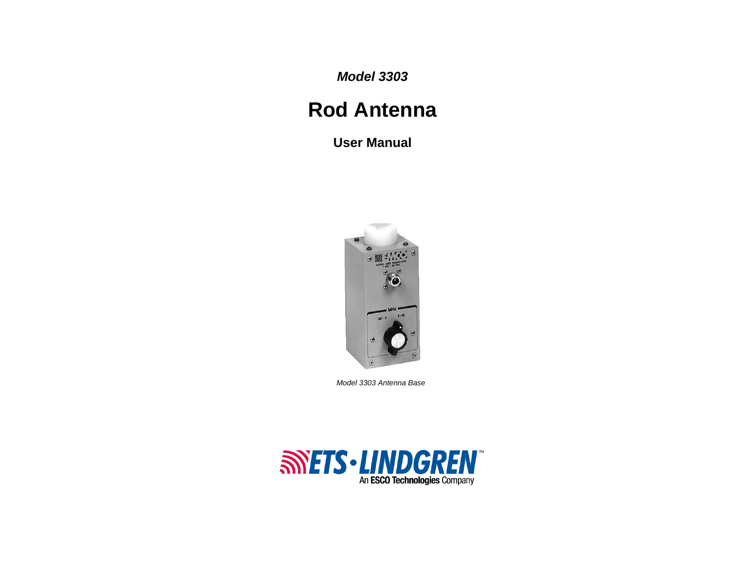*Model 3303* 

# **Rod Antenna**

**User Manual** 



*Model 3303 Antenna Base* 

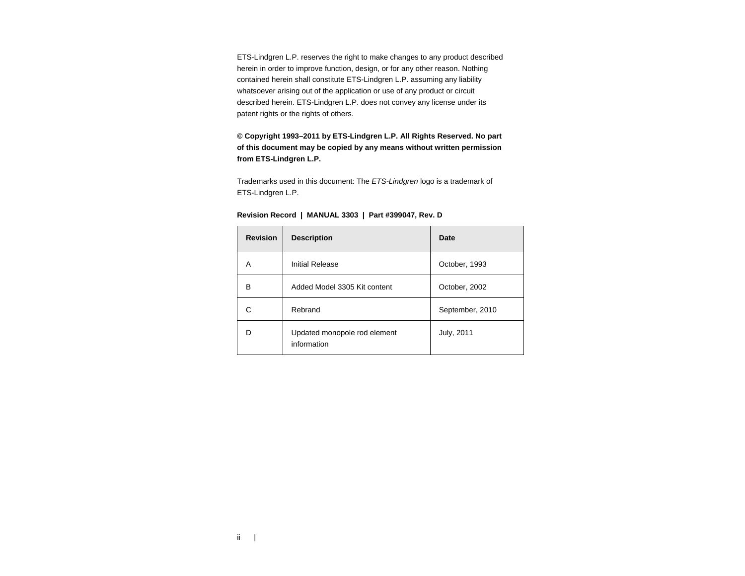ETS-Lindgren L.P. reserves the right to make changes to any product described herein in order to improve function, design, or for any other reason. Nothing contained herein shall constitute ETS-Lindgren L.P. assuming any liability whatsoever arising out of the application or use of any product or circuit described herein. ETS-Lindgren L.P. does not convey any license under its patent rights or the rights of others.

**© Copyright 1993–2011 by ETS-Lindgren L.P. All Rights Reserved. No part of this document may be copied by any means without written permission from ETS-Lindgren L.P.** 

Trademarks used in this document: The *ETS-Lindgren* logo is a trademark of ETS-Lindgren L.P.

| <b>Revision</b> | <b>Description</b>                          | Date              |
|-----------------|---------------------------------------------|-------------------|
| A               | <b>Initial Release</b>                      | October, 1993     |
| в               | Added Model 3305 Kit content                | October, 2002     |
|                 | Rebrand                                     | September, 2010   |
| D               | Updated monopole rod element<br>information | <b>July, 2011</b> |

**Revision Record | MANUAL 3303 | Part #399047, Rev. D**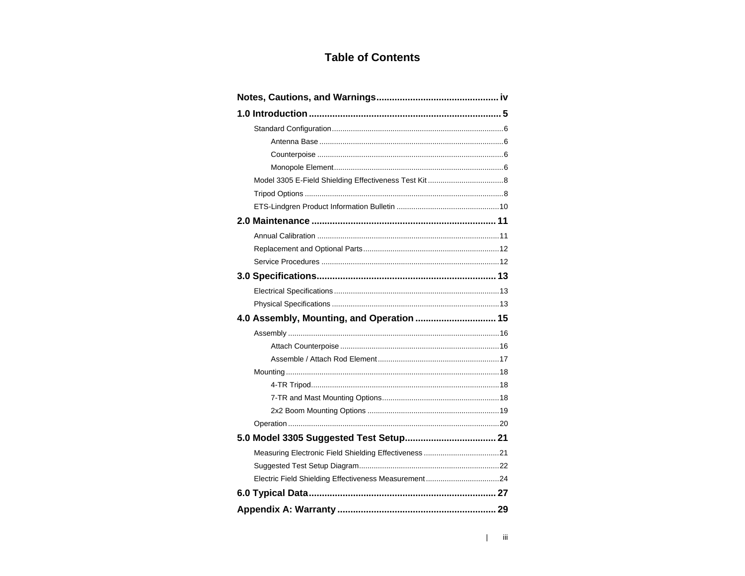# **Table of Contents**

| 4.0 Assembly, Mounting, and Operation  15            |  |
|------------------------------------------------------|--|
|                                                      |  |
|                                                      |  |
|                                                      |  |
|                                                      |  |
|                                                      |  |
|                                                      |  |
|                                                      |  |
|                                                      |  |
|                                                      |  |
|                                                      |  |
|                                                      |  |
|                                                      |  |
| Electric Field Shielding Effectiveness Measurement24 |  |
|                                                      |  |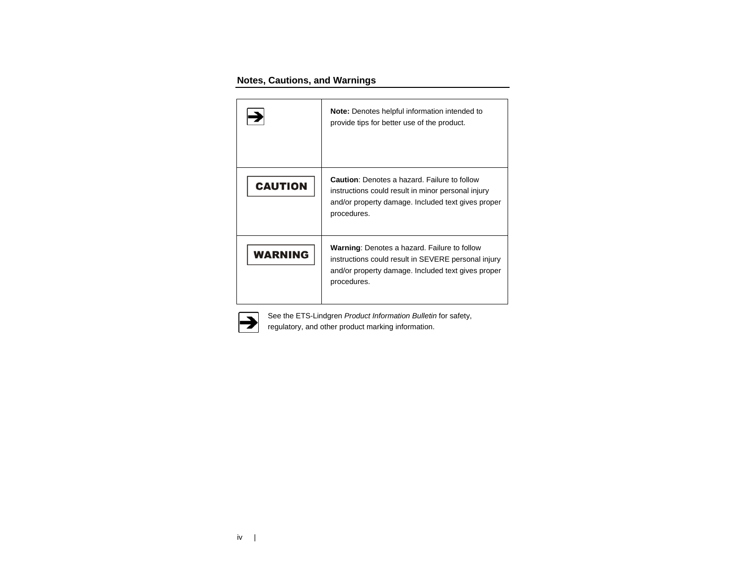## <span id="page-3-0"></span>**Notes, Cautions, and Warnings**

|                | <b>Note:</b> Denotes helpful information intended to<br>provide tips for better use of the product.                                                                             |
|----------------|---------------------------------------------------------------------------------------------------------------------------------------------------------------------------------|
| <b>CAUTION</b> | <b>Caution:</b> Denotes a hazard. Failure to follow<br>instructions could result in minor personal injury<br>and/or property damage. Included text gives proper<br>procedures.  |
| <b>WARNING</b> | <b>Warning:</b> Denotes a hazard. Failure to follow<br>instructions could result in SEVERE personal injury<br>and/or property damage. Included text gives proper<br>procedures. |



See the ETS-Lindgren *Product Information Bulletin* for safety, regulatory, and other product marking information.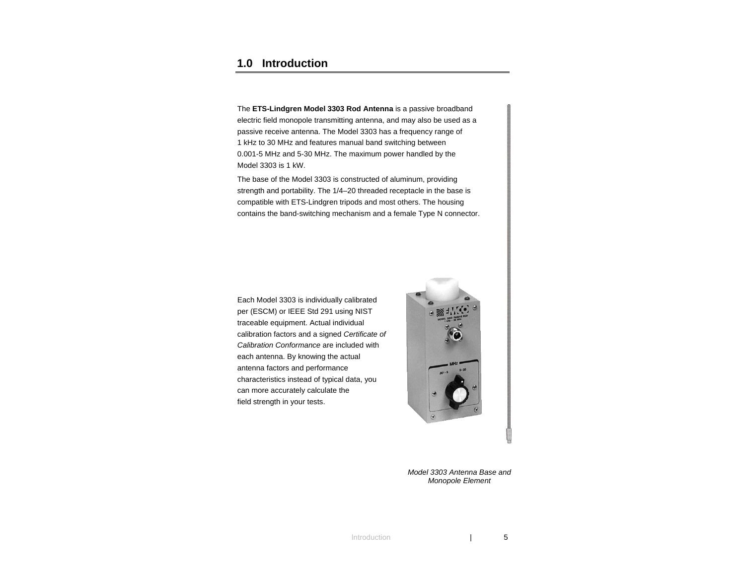## <span id="page-4-0"></span>**1.0 Introduction**

The **ETS-Lindgren Model 3303 Rod Antenna** is a passive broadband electric field monopole transmitting antenna, and may also be used as a passive receive antenna. The Model 3303 has a frequency range of 1 kHz to 30 MHz and features manual band switching between 0.001-5 MHz and 5-30 MHz. The maximum power handled by the Model 3303 is 1 kW.

The base of the Model 3303 is constructed of aluminum, providing strength and portability. The 1/4–20 threaded receptacle in the base is compatible with ETS-Lindgren tripods and most others. The housing contains the band-switching mechanism and a female Type N connector.

Each Model 3303 is individually calibrated per (ESCM) or IEEE Std 291 using NIST traceable equipment. Actual individual calibration factors and a signed *Certificate of Calibration Conformance* are included with each antenna. By knowing the actual antenna factors and performance characteristics instead of typical data, you can more accurately calculate the field strength in your tests.



*Model 3303 Antenna Base and Monopole Element*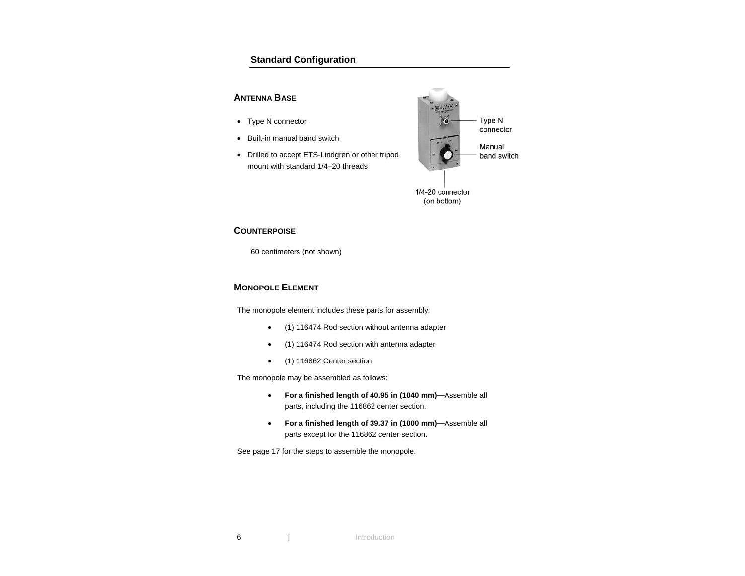### **Standard Configuration**

#### <span id="page-5-0"></span>**ANTENNA BASE**

- Type N connector
- Built-in manual band switch
- Drilled to accept ETS-Lindgren or other tripod mount with standard 1/4–20 threads



#### **COUNTERPOISE**

60 centimeters (not shown)

#### **MONOPOLE ELEMENT**

The monopole element includes these parts for assembly:

- (1) 116474 Rod section without antenna adapter
- (1) 116474 Rod section with antenna adapter
- (1) 116862 Center section

The monopole may be assembled as follows:

- • **For a finished length of 40.95 in (1040 mm)—**Assemble all parts, including the 116862 center section.
- • **For a finished length of 39.37 in (1000 mm)—**Assemble all parts except for the 116862 center section.

See page [17](#page-16-1) for the steps to assemble the monopole.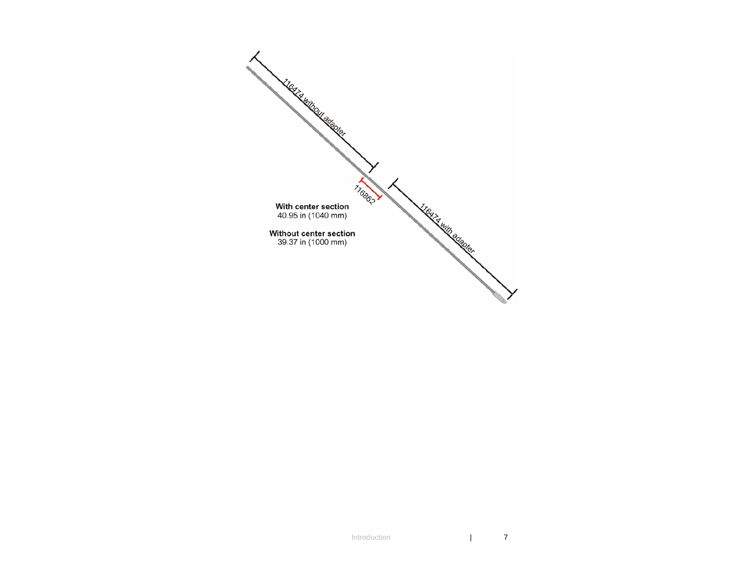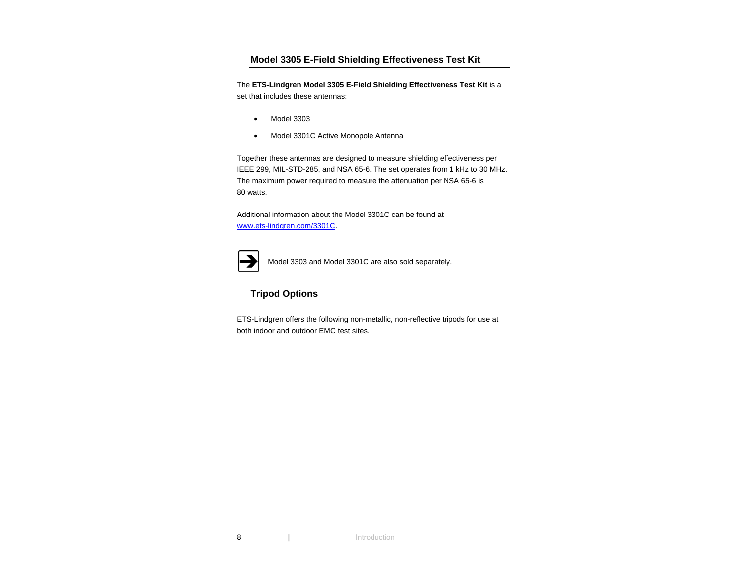#### **Model 3305 E-Field Shielding Effectiveness Test Kit**

<span id="page-7-0"></span>The **ETS-Lindgren Model 3305 E-Field Shielding Effectiveness Test Kit** is a set that includes these antennas:

- Model 3303
- Model 3301C Active Monopole Antenna

Together these antennas are designed to measure shielding effectiveness per IEEE 299, MIL-STD-285, and NSA 65-6. The set operates from 1 kHz to 30 MHz. The maximum power required to measure the attenuation per NSA 65-6 is 80 watts.

Additional information about the Model 3301C can be found at [www.ets-lindgren.com/3301C](http://www.ets-lindgren.com/page/all.cfm?i=3301C).



Model 3303 and Model 3301C are also sold separately.

### **Tripod Options**

ETS-Lindgren offers the following non-metallic, non-reflective tripods for use at both indoor and outdoor EMC test sites.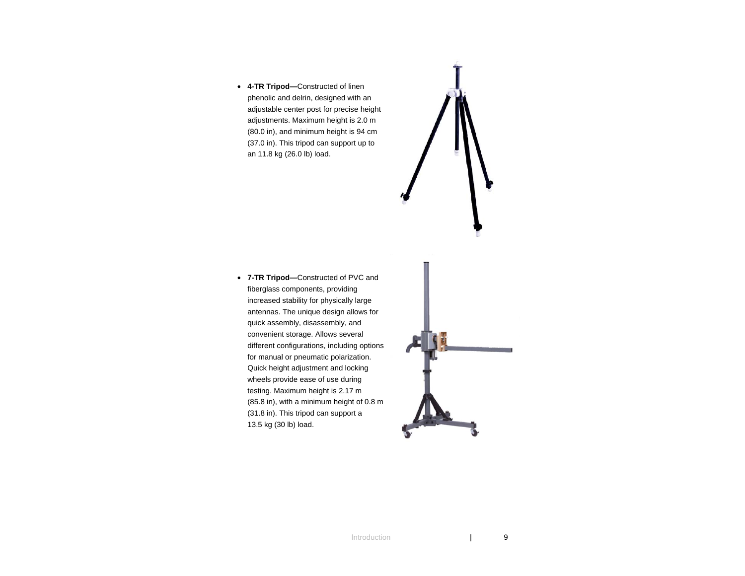• **4-TR Tripod—**Constructed of linen phenolic and delrin, designed with an adjustable center post for precise height adjustments. Maximum height is 2.0 m (80.0 in), and minimum height is 94 cm (37.0 in). This tripod can support up to an 11.8 kg (26.0 lb) load.

• **7-TR Tripod—**Constructed of PVC and fiberglass components, providing increased stability for physically large antennas. The unique design allows for quick assembly, disassembly, and convenient storage. Allows several different configurations, including options for manual or pneumatic polarization. Quick height adjustment and locking wheels provide ease of use during testing. Maximum height is 2.17 m (85.8 in), with a minimum height of 0.8 m (31.8 in). This tripod can support a 13.5 kg (30 lb) load.

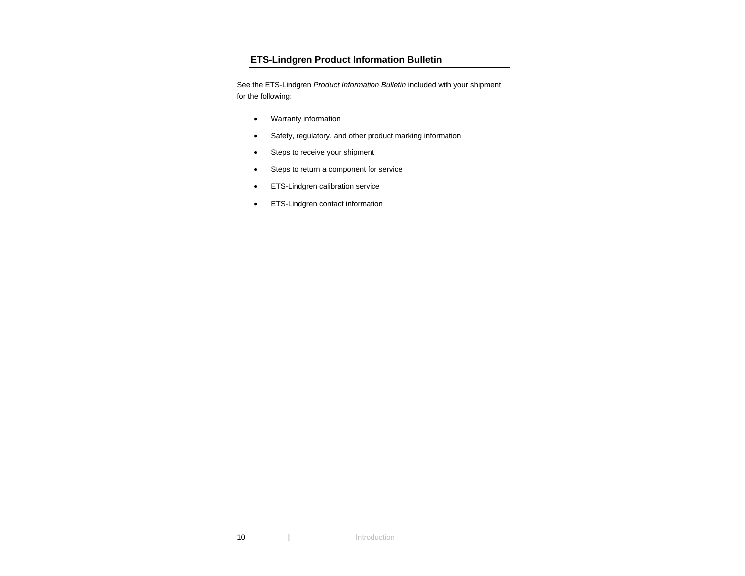### **ETS-Lindgren Product Information Bulletin**

<span id="page-9-0"></span>See the ETS-Lindgren *Product Information Bulletin* included with your shipment for the following:

- Warranty information
- Safety, regulatory, and other product marking information
- Steps to receive your shipment
- Steps to return a component for service
- ETS-Lindgren calibration service
- ETS-Lindgren contact information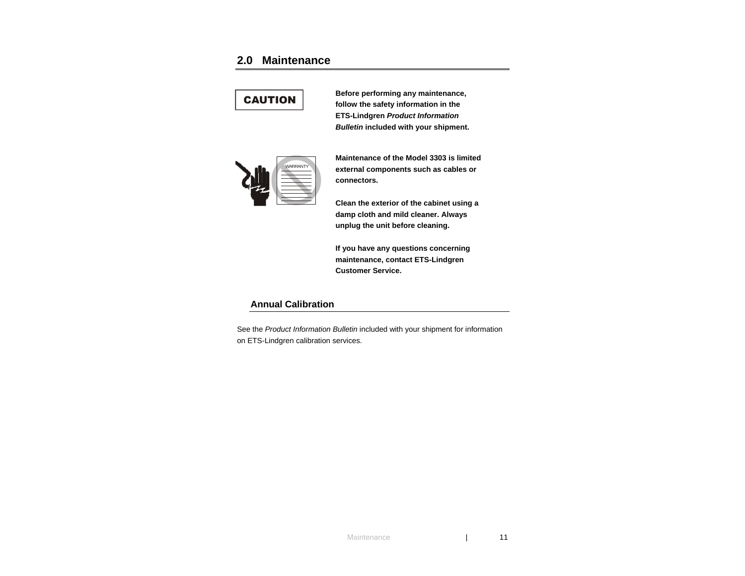### <span id="page-10-0"></span>**2.0 Maintenance**

# **CAUTION**

**Before performing any maintenance, follow the safety information in the ETS-Lindgren** *Product Information Bulletin* **included with your shipment.** 



**Maintenance of the Model 3303 is limited external components such as cables or connectors.** 

**Clean the exterior of the cabinet using a damp cloth and mild cleaner. Always unplug the unit before cleaning.** 

**If you have any questions concerning maintenance, contact ETS-Lindgren Customer Service.** 

#### **Annual Calibration**

See the *Product Information Bulletin* included with your shipment for information on ETS-Lindgren calibration services.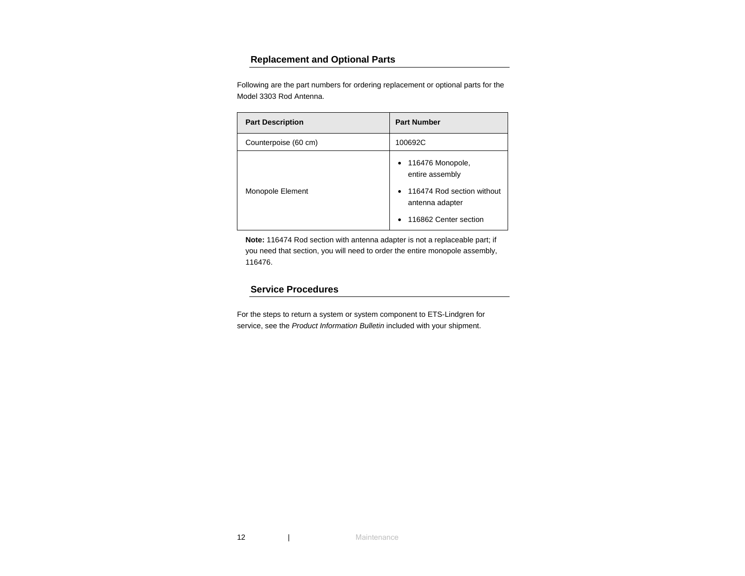## **Replacement and Optional Parts**

<span id="page-11-0"></span>Following are the part numbers for ordering replacement or optional parts for the Model 3303 Rod Antenna.

| <b>Part Description</b> | <b>Part Number</b>                                                                                                                   |  |
|-------------------------|--------------------------------------------------------------------------------------------------------------------------------------|--|
| Counterpoise (60 cm)    | 100692C                                                                                                                              |  |
| Monopole Element        | $\bullet$ 116476 Monopole,<br>entire assembly<br>116474 Rod section without<br>$\bullet$<br>antenna adapter<br>116862 Center section |  |

**Note:** 116474 Rod section with antenna adapter is not a replaceable part; if you need that section, you will need to order the entire monopole assembly, 116476.

#### **Service Procedures**

For the steps to return a system or system component to ETS-Lindgren for service, see the *Product Information Bulletin* included with your shipment.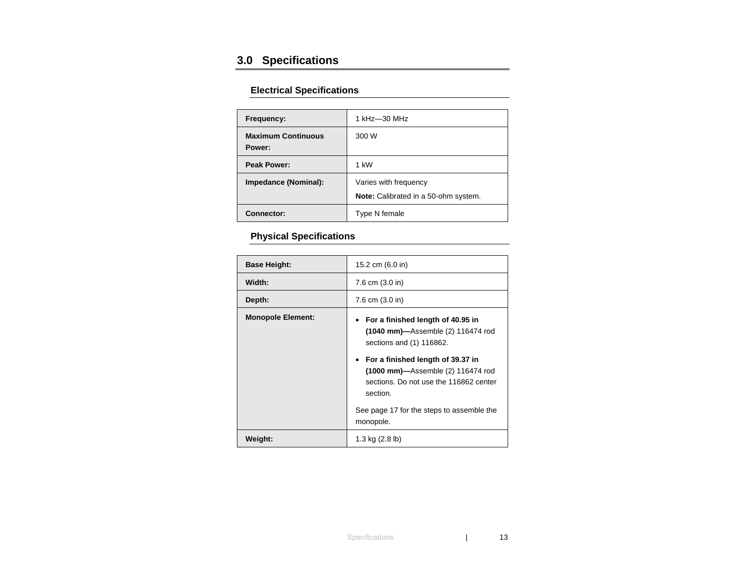# <span id="page-12-0"></span>**3.0 Specifications**

## **Electrical Specifications**

| Frequency:                          | 1 kHz-30 MHz                                                         |
|-------------------------------------|----------------------------------------------------------------------|
| <b>Maximum Continuous</b><br>Power: | 300 W                                                                |
| <b>Peak Power:</b>                  | 1 kW                                                                 |
| Impedance (Nominal):                | Varies with frequency<br><b>Note:</b> Calibrated in a 50-ohm system. |
| Connector:                          | Type N female                                                        |

## **Physical Specifications**

| <b>Base Height:</b>      | 15.2 cm (6.0 in)                                                                                                                                                                                                                                                                               |  |
|--------------------------|------------------------------------------------------------------------------------------------------------------------------------------------------------------------------------------------------------------------------------------------------------------------------------------------|--|
| Width:                   | 7.6 cm (3.0 in)                                                                                                                                                                                                                                                                                |  |
| Depth:                   | 7.6 cm (3.0 in)                                                                                                                                                                                                                                                                                |  |
| <b>Monopole Element:</b> | For a finished length of 40.95 in<br>(1040 mm)—Assemble (2) 116474 rod<br>sections and (1) 116862.<br>• For a finished length of 39.37 in<br>(1000 mm)—Assemble (2) 116474 rod<br>sections. Do not use the 116862 center<br>section.<br>See page 17 for the steps to assemble the<br>monopole. |  |
| Weight:                  | 1.3 kg (2.8 lb)                                                                                                                                                                                                                                                                                |  |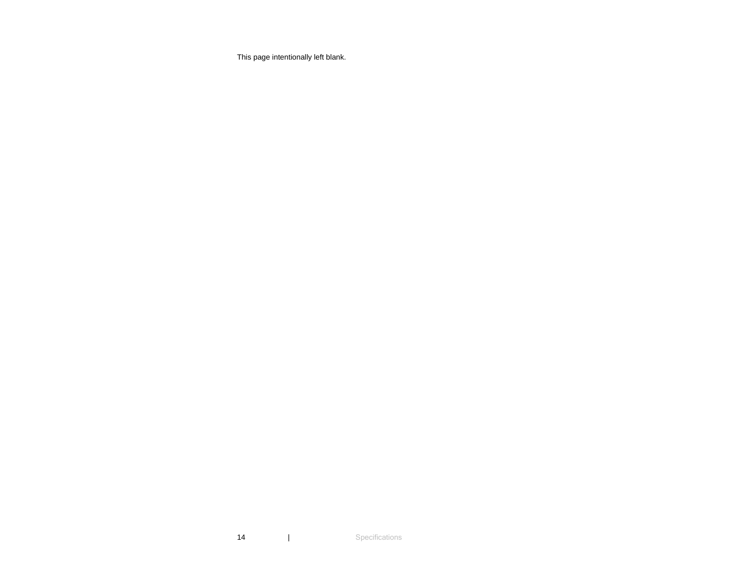This page intentionally left blank.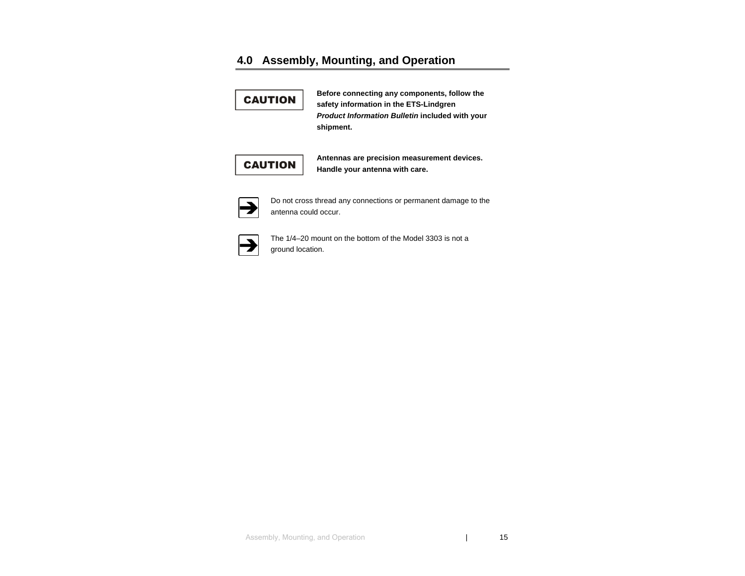# <span id="page-14-0"></span>**4.0 Assembly, Mounting, and Operation**

# **CAUTION**

**Before connecting any components, follow the safety information in the ETS-Lindgren**  *Product Information Bulletin* **included with your shipment.** 

# **CAUTION**

**Antennas are precision measurement devices. Handle your antenna with care.** 



Do not cross thread any connections or permanent damage to the antenna could occur.



The 1/4–20 mount on the bottom of the Model 3303 is not a ground location.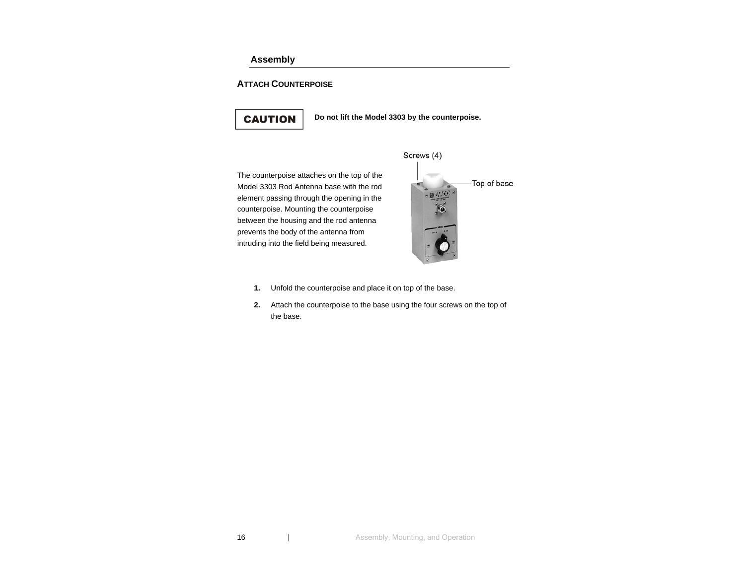### **Assembly**

#### <span id="page-15-0"></span>**ATTACH COUNTERPOISE**



#### **Do not lift the Model 3303 by the counterpoise.**

Screws (4)

The counterpoise attaches on the top of the Model 3303 Rod Antenna base with the rod element passing through the opening in the counterpoise. Mounting the counterpoise between the housing and the rod antenna prevents the body of the antenna from intruding into the field being measured.



- **1.** Unfold the counterpoise and place it on top of the base.
- **2.** Attach the counterpoise to the base using the four screws on the top of the base.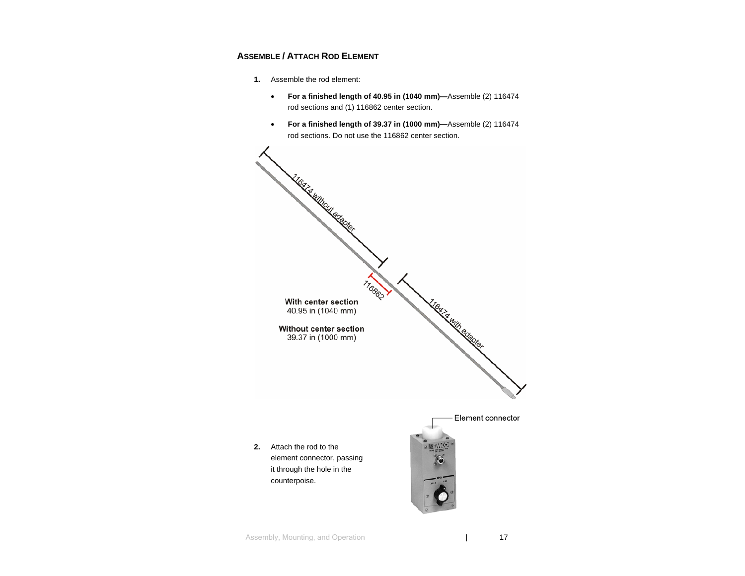#### <span id="page-16-1"></span><span id="page-16-0"></span>**ASSEMBLE / ATTACH ROD ELEMENT**

- **1.** Assemble the rod element:
	- **For a finished length of 40.95 in (1040 mm)—**Assemble (2) 116474 rod sections and (1) 116862 center section.
	- **For a finished length of 39.37 in (1000 mm)—**Assemble (2) 116474 rod sections. Do not use the 116862 center section.

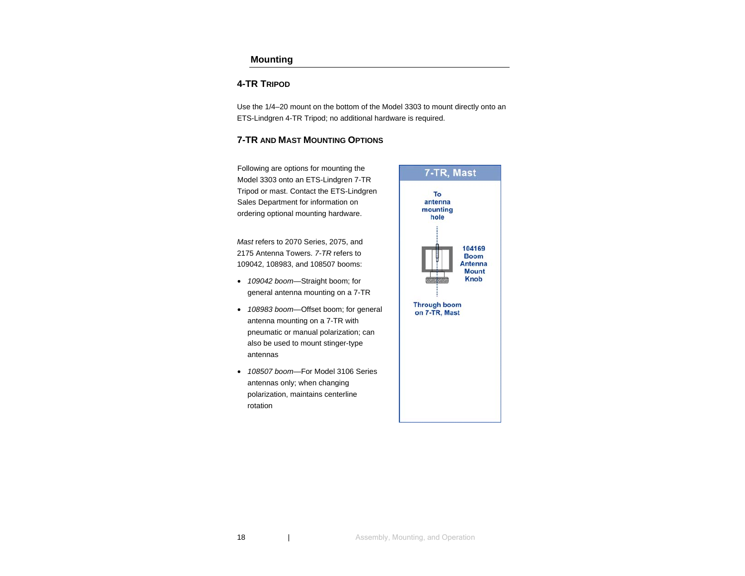#### **Mounting**

#### <span id="page-17-0"></span>**4-TR TRIPOD**

Use the 1/4–20 mount on the bottom of the Model 3303 to mount directly onto an ETS-Lindgren 4-TR Tripod; no additional hardware is required.

#### **7-TR AND MAST MOUNTING OPTIONS**

Following are options for mounting the Model 3303 onto an ETS-Lindgren 7-TR Tripod or mast. Contact the ETS-Lindgren Sales Department for information on ordering optional mounting hardware.

*Mast* refers to 2070 Series, 2075, and 2175 Antenna Towers. *7-TR* refers to 109042, 108983, and 108507 booms:

- *109042 boom*—Straight boom; for general antenna mounting on a 7-TR
- *108983 boom*—Offset boom; for general antenna mounting on a 7-TR with pneumatic or manual polarization; can also be used to mount stinger-type antennas
- *108507 boom*—For Model 3106 Series antennas only; when changing polarization, maintains centerline rotation

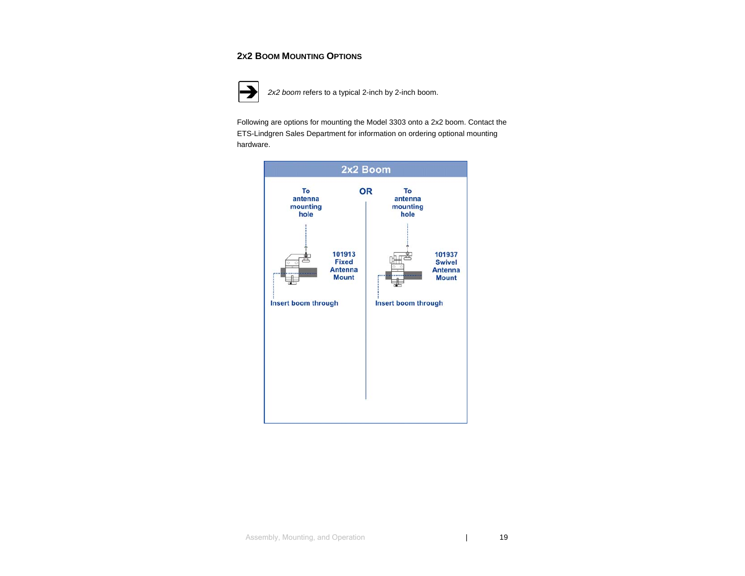### <span id="page-18-0"></span>**2X2 BOOM MOUNTING OPTIONS**



*2x2 boom* refers to a typical 2-inch by 2-inch boom.

Following are options for mounting the Model 3303 onto a 2x2 boom. Contact the ETS-Lindgren Sales Department for information on ordering optional mounting hardware.

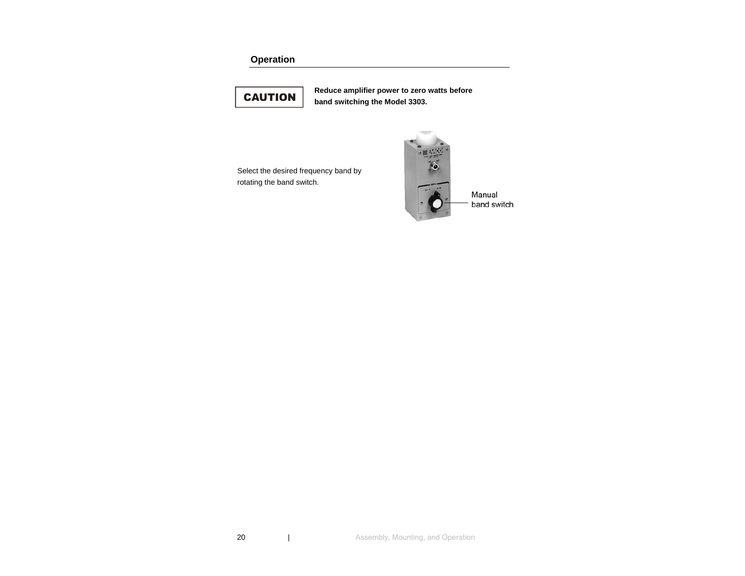## **Operation**

<span id="page-19-0"></span>

**Reduce amplifier power to zero watts before band switching the Model 3303.** 

Select the desired frequency band by rotating the band switch.



**20 | Assembly, Mounting, and Operation**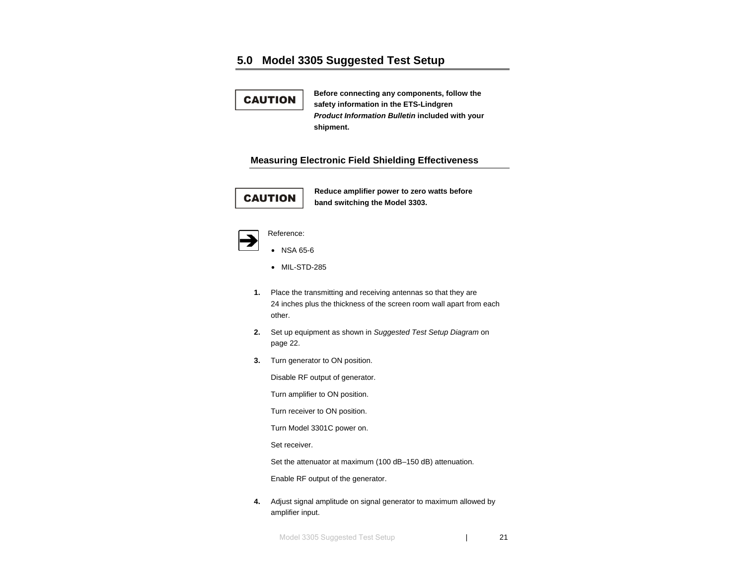# <span id="page-20-0"></span>**5.0 Model 3305 Suggested Test Setup**

| <b>CAUTION</b> |
|----------------|
|----------------|

**Before connecting any components, follow the safety information in the ETS-Lindgren**  *Product Information Bulletin* **included with your shipment.** 

#### **Measuring Electronic Field Shielding Effectiveness**



**Reduce amplifier power to zero watts before band switching the Model 3303.** 

| Reference: |
|------------|
|            |

```
• NSA 65-6
```
- MIL-STD-285
- **1.** Place the transmitting and receiving antennas so that they are 24 inches plus the thickness of the screen room wall apart from each other.
- **2.** Set up equipment as shown in *Suggested Test Setup Diagram* on page [22](#page-21-1).
- **3.** Turn generator to ON position.

Disable RF output of generator.

Turn amplifier to ON position.

Turn receiver to ON position.

Turn Model 3301C power on.

Set receiver.

Set the attenuator at maximum (100 dB–150 dB) attenuation.

Enable RF output of the generator.

**4.** Adjust signal amplitude on signal generator to maximum allowed by amplifier input.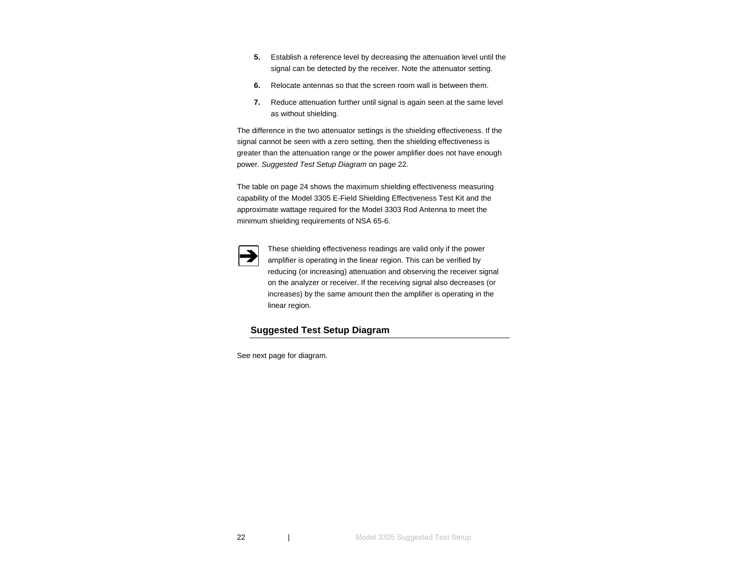- <span id="page-21-0"></span>**5.** Establish a reference level by decreasing the attenuation level until the signal can be detected by the receiver. Note the attenuator setting.
- **6.** Relocate antennas so that the screen room wall is between them.
- **7.** Reduce attenuation further until signal is again seen at the same level as without shielding.

The difference in the two attenuator settings is the shielding effectiveness. If the signal cannot be seen with a zero setting, then the shielding effectiveness is greater than the attenuation range or the power amplifier does not have enough power. *Suggested Test Setup Diagram* on page [22](#page-21-1).

The table on page [24](#page-23-1) shows the maximum shielding effectiveness measuring capability of the Model 3305 E-Field Shielding Effectiveness Test Kit and the approximate wattage required for the Model 3303 Rod Antenna to meet the minimum shielding requirements of NSA 65-6.



These shielding effectiveness readings are valid only if the power amplifier is operating in the linear region. This can be verified by reducing (or increasing) attenuation and observing the receiver signal on the analyzer or receiver. If the receiving signal also decreases (or increases) by the same amount then the amplifier is operating in the linear region.

#### **Suggested Test Setup Diagram**

<span id="page-21-1"></span>See next page for diagram.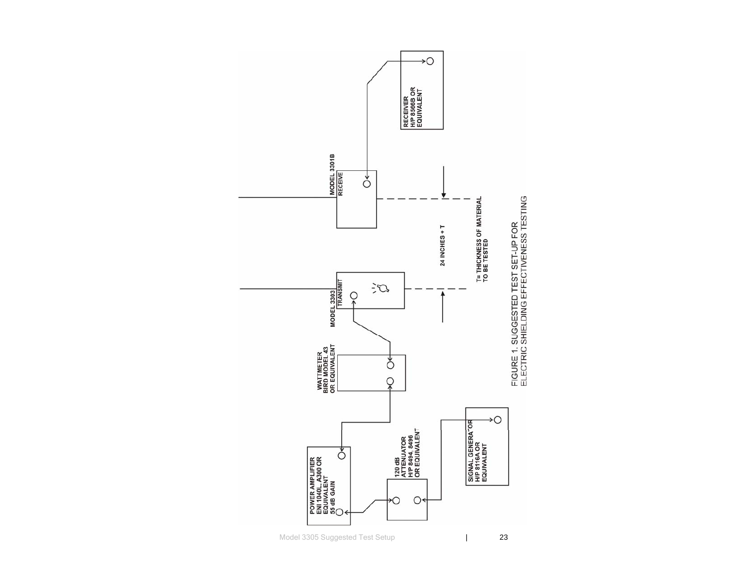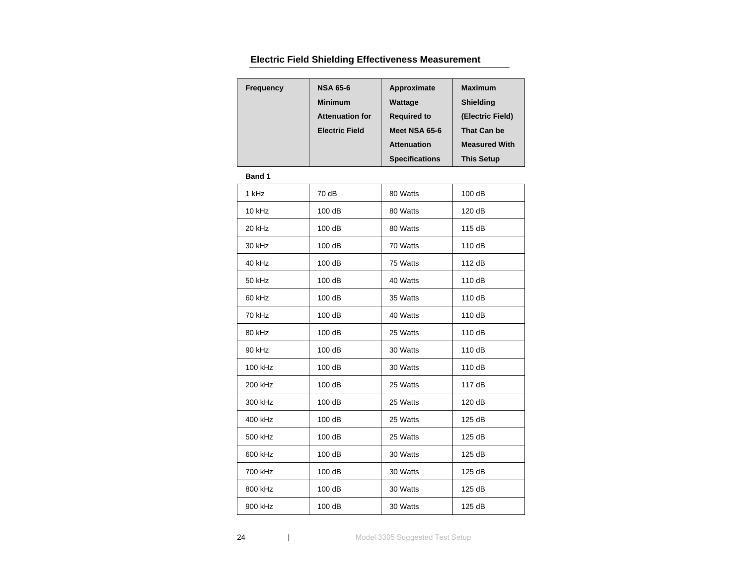# **Electric Field Shielding Effectiveness Measurement**

<span id="page-23-1"></span><span id="page-23-0"></span>

| Frequency | <b>NSA 65-6</b>        | Approximate           | <b>Maximum</b>       |
|-----------|------------------------|-----------------------|----------------------|
|           | <b>Minimum</b>         | Wattage               | <b>Shielding</b>     |
|           | <b>Attenuation for</b> | <b>Required to</b>    | (Electric Field)     |
|           | <b>Electric Field</b>  | Meet NSA 65-6         | That Can be          |
|           |                        | <b>Attenuation</b>    | <b>Measured With</b> |
|           |                        | <b>Specifications</b> | <b>This Setup</b>    |
|           |                        |                       |                      |

#### **Band 1**

| 1 kHz   | 70 dB  | 80 Watts | 100dB  |
|---------|--------|----------|--------|
| 10 kHz  | 100dB  | 80 Watts | 120 dB |
| 20 kHz  | 100 dB | 80 Watts | 115 dB |
| 30 kHz  | 100 dB | 70 Watts | 110 dB |
| 40 kHz  | 100 dB | 75 Watts | 112 dB |
| 50 kHz  | 100 dB | 40 Watts | 110 dB |
| 60 kHz  | 100 dB | 35 Watts | 110 dB |
| 70 kHz  | 100 dB | 40 Watts | 110 dB |
| 80 kHz  | 100 dB | 25 Watts | 110 dB |
| 90 kHz  | 100 dB | 30 Watts | 110 dB |
| 100 kHz | 100 dB | 30 Watts | 110 dB |
| 200 kHz | 100 dB | 25 Watts | 117 dB |
| 300 kHz | 100 dB | 25 Watts | 120 dB |
| 400 kHz | 100 dB | 25 Watts | 125 dB |
| 500 kHz | 100 dB | 25 Watts | 125 dB |
| 600 kHz | 100 dB | 30 Watts | 125 dB |
| 700 kHz | 100 dB | 30 Watts | 125 dB |
| 800 kHz | 100 dB | 30 Watts | 125 dB |
| 900 kHz | 100 dB | 30 Watts | 125 dB |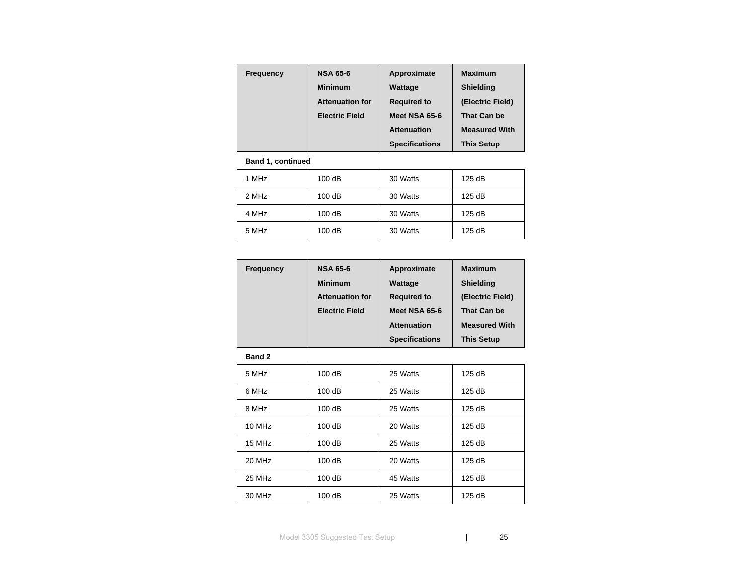| Frequency | <b>NSA 65-6</b><br><b>Minimum</b><br><b>Attenuation for</b><br><b>Electric Field</b> | Approximate<br>Wattage<br><b>Required to</b><br>Meet NSA 65-6<br><b>Attenuation</b> | <b>Maximum</b><br><b>Shielding</b><br>(Electric Field)<br>That Can be<br><b>Measured With</b> |
|-----------|--------------------------------------------------------------------------------------|-------------------------------------------------------------------------------------|-----------------------------------------------------------------------------------------------|
|           |                                                                                      |                                                                                     |                                                                                               |
|           |                                                                                      | <b>Specifications</b>                                                               | <b>This Setup</b>                                                                             |

#### **Band 1, continued**

| 1 MHz | 100dB | 30 Watts | 125dB  |
|-------|-------|----------|--------|
| 2 MHz | 100dB | 30 Watts | 125dB  |
| 4 MHz | 100dB | 30 Watts | 125 dB |
| 5 MHz | 100dB | 30 Watts | 125dB  |

| Frequency | <b>NSA 65-6</b>        | Approximate           | <b>Maximum</b>       |
|-----------|------------------------|-----------------------|----------------------|
|           | <b>Minimum</b>         | <b>Wattage</b>        | <b>Shielding</b>     |
|           | <b>Attenuation for</b> | <b>Required to</b>    | (Electric Field)     |
|           | <b>Electric Field</b>  | Meet NSA 65-6         | <b>That Can be</b>   |
|           |                        | <b>Attenuation</b>    | <b>Measured With</b> |
|           |                        | <b>Specifications</b> | <b>This Setup</b>    |

#### **Band 2**

| 5 MHz  | 100dB  | 25 Watts | 125 dB |
|--------|--------|----------|--------|
| 6 MHz  | 100 dB | 25 Watts | 125dB  |
| 8 MHz  | 100 dB | 25 Watts | 125 dB |
| 10 MHz | 100dB  | 20 Watts | 125 dB |
| 15 MHz | 100 dB | 25 Watts | 125 dB |
| 20 MHz | 100 dB | 20 Watts | 125 dB |
| 25 MHz | 100 dB | 45 Watts | 125 dB |
| 30 MHz | 100 dB | 25 Watts | 125dB  |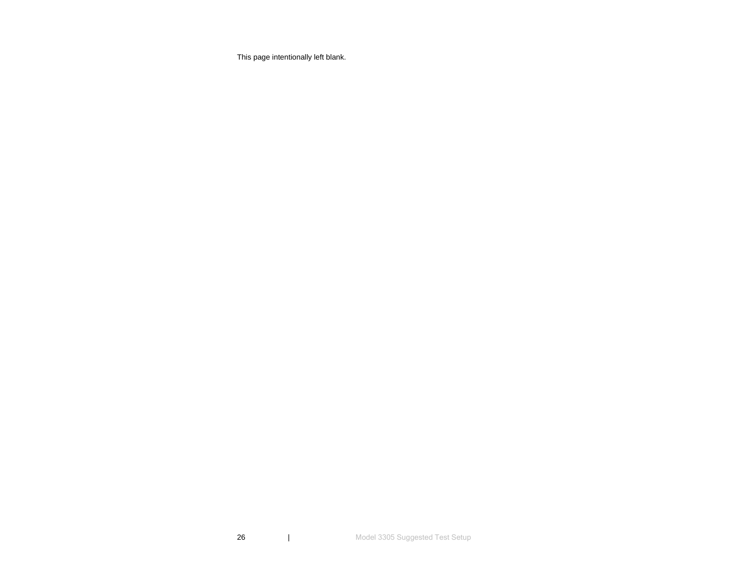This page intentionally left blank.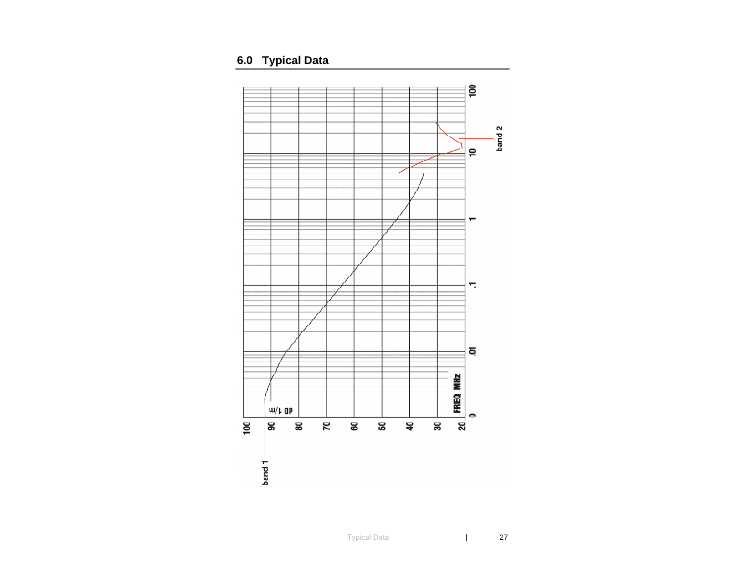# **6.0 Typical Data**

<span id="page-26-0"></span>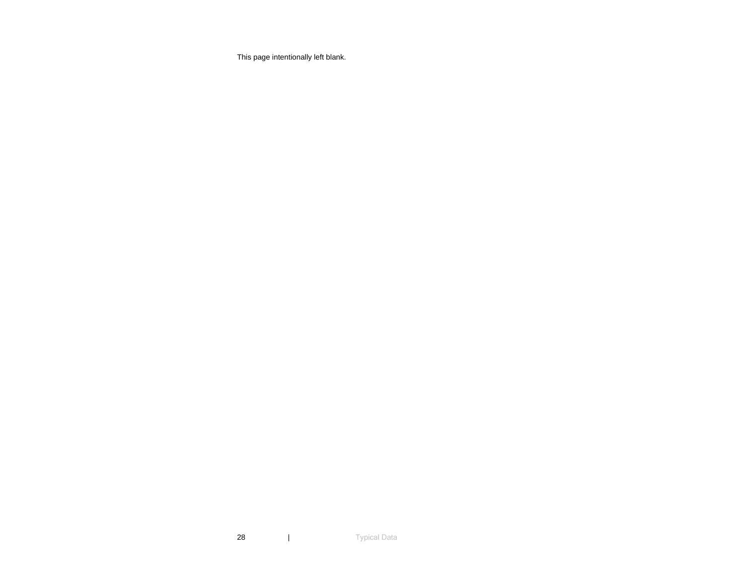This page intentionally left blank.